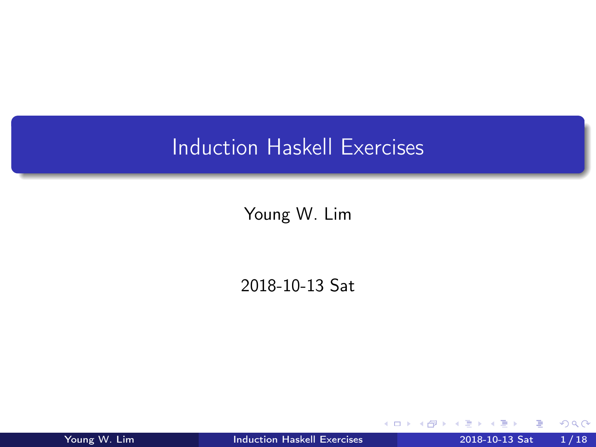## <span id="page-0-0"></span>Induction Haskell Exercises

Young W. Lim

2018-10-13 Sat

4 D F

← 『

Young W. Lim **[Induction Haskell Exercises](#page-17-0)** 2018-10-13 Sat 1/18

э

 $299$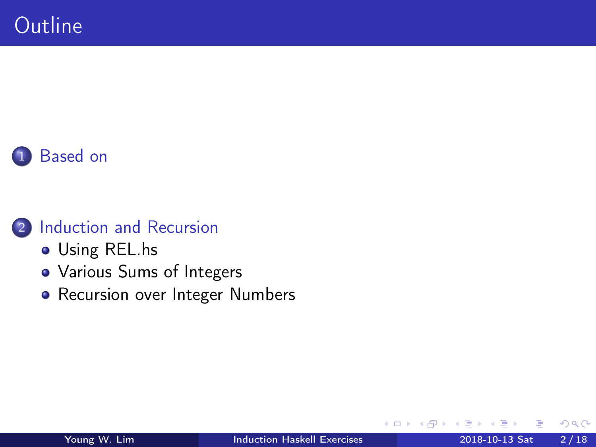



- [Using REL.hs](#page-3-0)
- [Various Sums of Integers](#page-4-0)
- [Recursion over Integer Numbers](#page-14-0)

€⊡

 $QQ$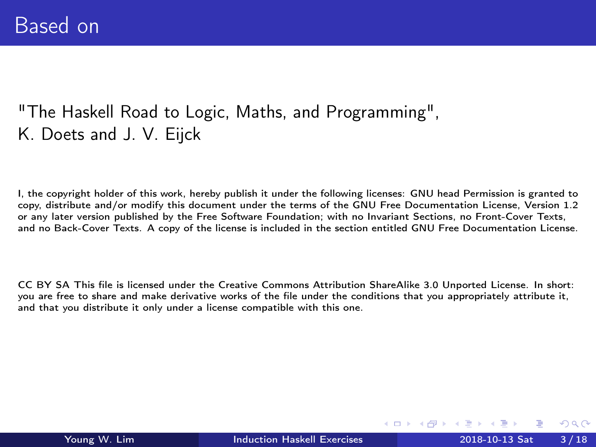#### <span id="page-2-0"></span>"The Haskell Road to Logic, Maths, and Programming", K. Doets and J. V. Eijck

I, the copyright holder of this work, hereby publish it under the following licenses: GNU head Permission is granted to copy, distribute and/or modify this document under the terms of the GNU Free Documentation License, Version 1.2 or any later version published by the Free Software Foundation; with no Invariant Sections, no Front-Cover Texts, and no Back-Cover Texts. A copy of the license is included in the section entitled GNU Free Documentation License.

CC BY SA This file is licensed under the Creative Commons Attribution ShareAlike 3.0 Unported License. In short: you are free to share and make derivative works of the file under the conditions that you appropriately attribute it, and that you distribute it only under a license compatible with this one.

(□ ) (何 ) (□ ) (□

 $200$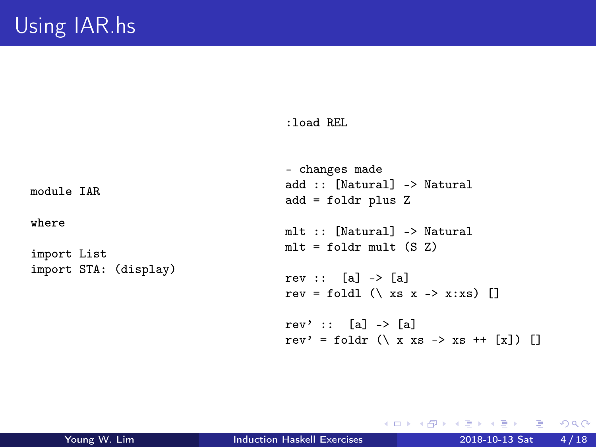#### :load REL

<span id="page-3-0"></span>module IAR

where

import List import STA: (display)

```
- changes made
add :: [Natural] -> Natural
add = foldr plus Z
mlt :: [Natural] -> Natural
mlt = foldr \text{ mult } (S Z)rev :: [a] \rightarrow [a]
rev = foldl (\x \times x \rightarrow x:xs) []
rev' :: \text{al} \rightarrow \text{al}rev' = foldr (\xrightarrow x s \rightarrow xs ++ [x]) []
```
K ロ ▶ K 個 ▶ K 로 ▶ K 로 ▶ - 로 - K 9 Q @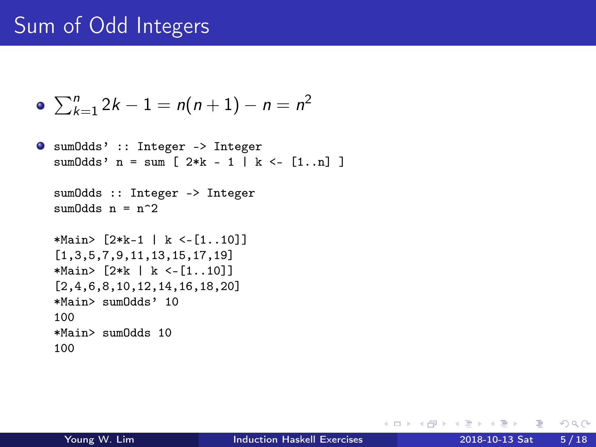# <span id="page-4-0"></span>Sum of Odd Integers

• 
$$
\sum_{k=1}^{n} 2k - 1 = n(n+1) - n = n^2
$$

```
sumOdds' :: Integer -> Integer
  sum0dds' n = sum [ 2*k - 1 | k <- [1..n] ]
```

```
sumOdds :: Integer -> Integer
sum0dds n = n^2
```

```
*Main> [2*k-1 | k <-[1..10]]
[1,3,5,7,9,11,13,15,17,19]*Main> [2*k | k <-[1..10]]
[2,4,6,8,10,12,14,16,18,20]
*Main> sumOdds' 10
100
*Main> sumOdds 10
100
```
 $-990$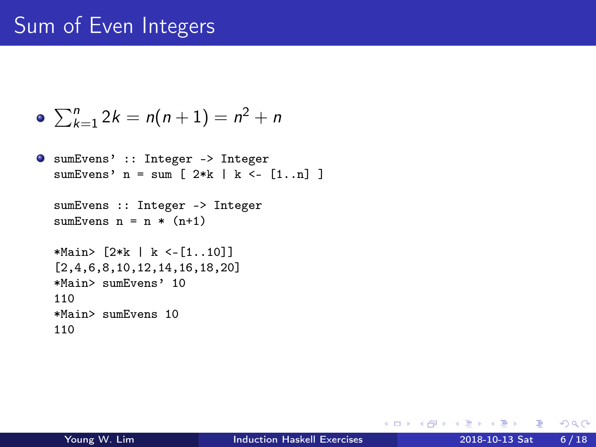# Sum of Even Integers

• 
$$
\sum_{k=1}^{n} 2k = n(n+1) = n^2 + n
$$

```
sumEvens' :: Integer -> Integer
  sumEvens' n = sum \{ 2*k \mid k \le -1, n \}sumEvens :: Integer -> Integer
  sumEvens n = n * (n+1)*Main> [2*k | k <-[1..10]]
  [2,4,6,8,10,12,14,16,18,20]
  *Main> sumEvens' 10
  110
  *Main> sumEvens 10
  110
```
 $-990$ 

メロト メタト メミト メミト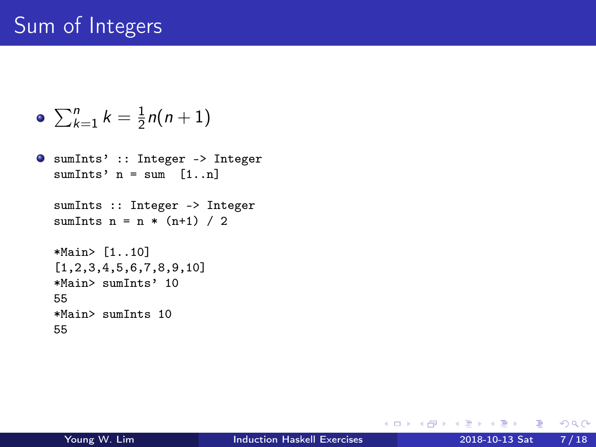# Sum of Integers

$$
\bullet \ \sum_{k=1}^n k = \tfrac{1}{2}n(n+1)
$$

```
sumInts' :: Integer -> Integer
  sumInts' n = sum [1..n]
  sumInts :: Integer -> Integer
  sumInts n = n * (n+1) / 2*Main> [1..10]
  [1,2,3,4,5,6,7,8,9,10]
  *Main> sumInts' 10
  55
  *Main> sumInts 10
  55
```
K ロ ▶ K 個 ▶ K 로 ▶ K 로 ▶ - 로 - K 9 Q @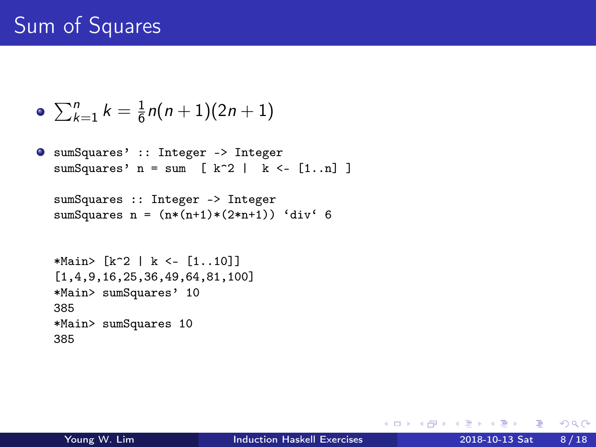# Sum of Squares

• 
$$
\sum_{k=1}^{n} k = \frac{1}{6}n(n+1)(2n+1)
$$

sumSquares' :: Integer -> Integer sumSquares'  $n = sum$  [ k<sup>2</sup> | k <- [1..n] ]

```
sumSquares :: Integer -> Integer
sumSquares n = (n*(n+1)*(2*n+1)) 'div' 6
```

```
*Main> [k^2] | k <- [1..10]]
[1,4,9,16,25,36,49,64,81,100]
*Main> sumSquares' 10
385
*Main> sumSquares 10
385
```
 $ORO$ 

**K ロ ト K 何 ト K ヨ ト K ヨ ト**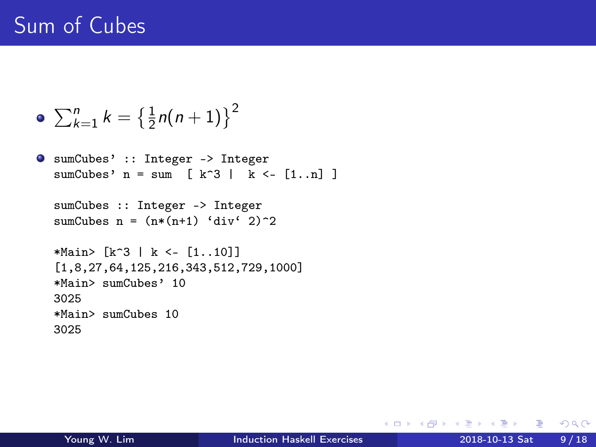# Sum of Cubes

$$
\bullet \ \sum_{k=1}^{n} k = \left\{ \frac{1}{2} n(n+1) \right\}^2
$$

```
sumCubes' :: Integer -> Integer
  sumCubes' n = sum k^3 | k < - [1..n] ]
```

```
sumCubes :: Integer -> Integer
sumCubes n = (n*(n+1) 'div' 2)<sup>-2</sup>
```

```
*Main> [k^3 | k <- [1..10]]
[1,8,27,64,125,216,343,512,729,1000]
*Main> sumCubes' 10
3025
*Main> sumCubes 10
3025
```
K ロ ▶ K 個 ▶ K 로 ▶ K 로 ▶ - 로 - K 9 Q @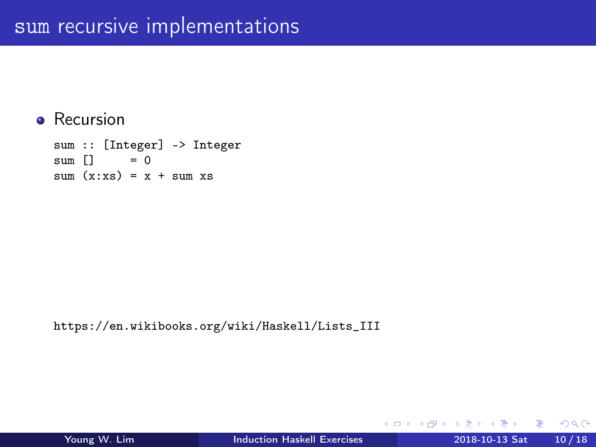#### • Recursion

sum :: [Integer] -> Integer<br>sum  $\begin{bmatrix} 1 & 2 \end{bmatrix}$  = 0  $sum$   $\Box$  $sum (x:xs) = x + sum xs$ 

https://en.wikibooks.org/wiki/Haskell/Lists\_III

造

 $\sqrt{m}$   $\rightarrow$   $\sqrt{m}$   $\rightarrow$   $\sqrt{m}$ 

4 D F

 $QQ$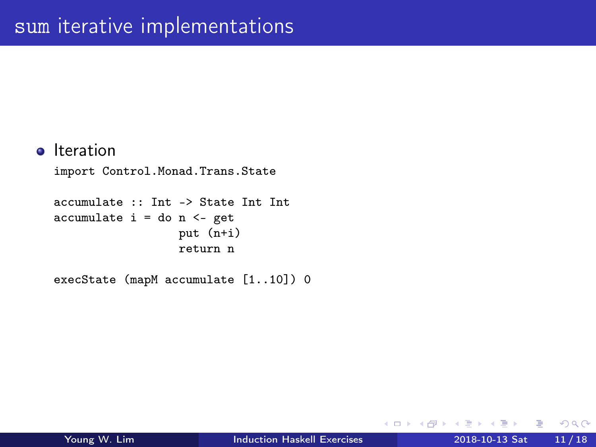```
o Iteration
```

```
import Control.Monad.Trans.State
```

```
accumulate :: Int -> State Int Int
accumulate i = do n <- get
                  put (n+i)
                  return n
```
execState (mapM accumulate [1..10]) 0

重

 $\sqrt{m}$  )  $\sqrt{m}$  )  $\sqrt{m}$  )

4 D F

 $QQ$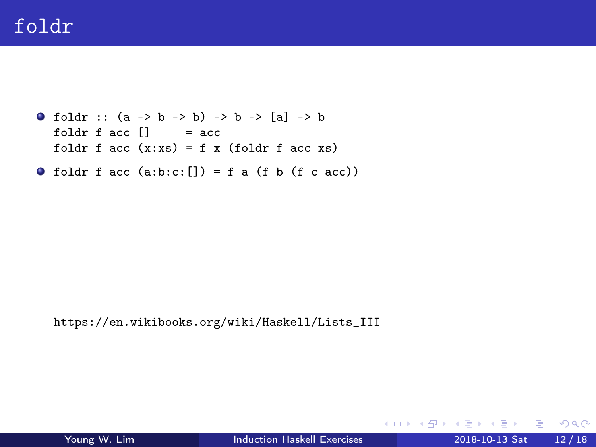```
0 foldr :: (a \rightarrow b \rightarrow b) \rightarrow b \rightarrow [a] \rightarrow bfoldr f acc \begin{bmatrix} 1 \\ 1 \end{bmatrix} = acc
   foldr f acc(x:xs) = f(x) (foldr f acc xs))
```
 $\bullet$  foldr f acc (a:b:c:[]) = f a (f b (f c acc))

https://en.wikibooks.org/wiki/Haskell/Lists\_III

イロト イ押ト イヨト イヨト

 $\equiv$  990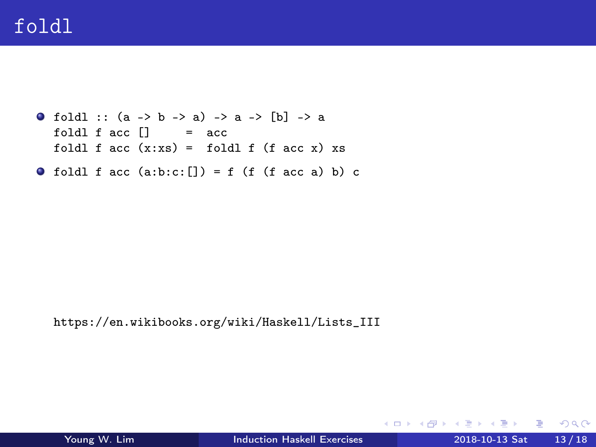```
0 foldl :: (a \rightarrow b \rightarrow a) \rightarrow a \rightarrow [b] \rightarrow afoldl f acc \begin{bmatrix} 1 \\ 1 \end{bmatrix} = \begin{bmatrix} 1 \\ 2 \end{bmatrix}foldl f acc(x:xs) = fold1 f (facc x) xs
```
• foldl f acc  $(a:b:c; []$  = f (f (f acc a) b) c

https://en.wikibooks.org/wiki/Haskell/Lists\_III

イロト イ押ト イヨト イヨト

 $E = 990$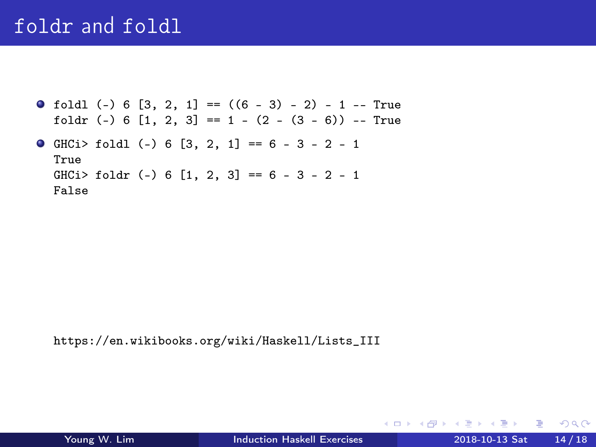#### foldr and foldl

 $\bullet$  foldl (-) 6 [3, 2, 1] == ((6 - 3) - 2) - 1 -- True foldr  $(-)$  6  $[1, 2, 3] == 1 - (2 - (3 - 6)) -- True$  $\bullet$  GHCi > foldl (-) 6 [3, 2, 1] == 6 - 3 - 2 - 1 True

 $GHCi > foldr$  (-) 6  $[1, 2, 3] == 6 - 3 - 2 - 1$ False

https://en.wikibooks.org/wiki/Haskell/Lists\_III

KED KARD KED KED E YORA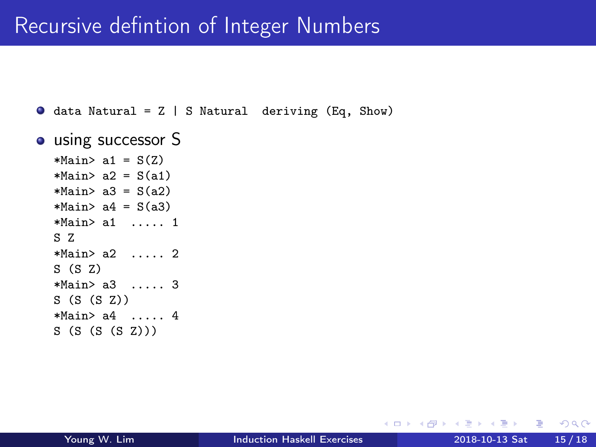#### <span id="page-14-0"></span>Recursive defintion of Integer Numbers

 $\bullet$  data Natural = Z | S Natural deriving (Eq, Show)

```
o using successor S
```
 $*Main > a1 = S(Z)$  $*Main > a2 = S(a1)$  $*Main > a3 = S(a2)$  $*Main > a4 = S(a3)$ \*Main> a1 ..... 1 S Z \*Main> a2 ..... 2 S (S Z) \*Main> a3 ..... 3 S (S (S Z)) \*Main> a4 ..... 4 S (S (S (S Z)))

4 D F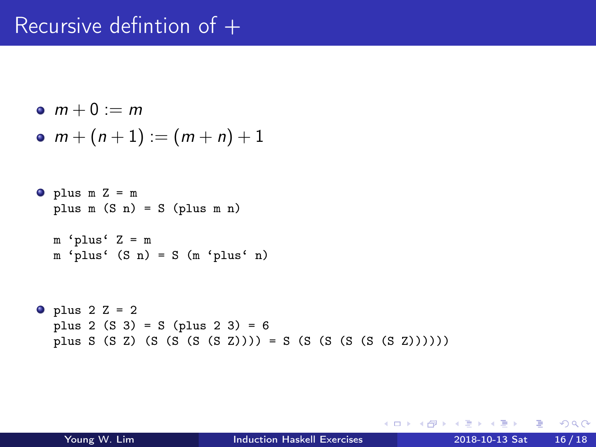#### Recursive defintion of +

$$
\bullet \ \ m+0:=m
$$

• 
$$
m + (n + 1) := (m + n) + 1
$$

```
\bullet plus m Z = m
  plus m (S n) = S (plus m n)
```

```
m 'plus' Z = mm 'plus' (S n) = S (m 'plus' n)
```

```
\bullet plus 2 Z = 2
  plus 2 (S 3) = S (plus 2 3) = 6plus S (S Z) (S (S (S (S Z)))) = S (S (S (S (S (S (S (S (S (S)))))))
```
 $\mathcal{A} \oplus \mathcal{B}$  ,  $\mathcal{A} \oplus \mathcal{B}$  ,  $\mathcal{A} \oplus \mathcal{B}$ 

4 **E** F

 $E = 990$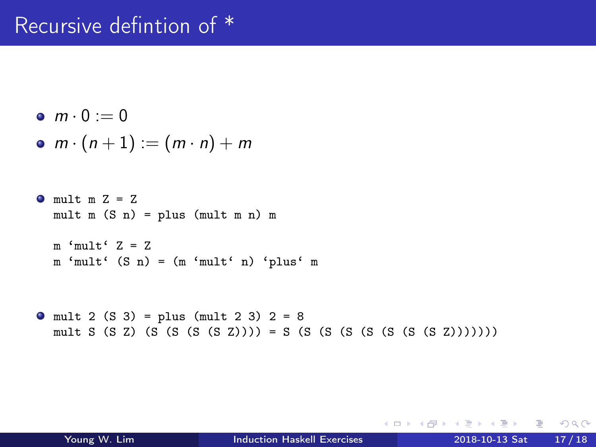### Recursive defintion of \*

$$
\bullet \ \ m \cdot 0 := 0
$$

$$
\bullet \, m \cdot (n+1) := (m \cdot n) + m
$$

```
\bullet mult m Z = Z
  mult m(S n) = plus (mult m n) m
```

```
m 'mult' Z = Z
m 'mult' (S n) = (m 'mult' n) 'plus' m
```

```
\bullet mult 2 (S 3) = plus (mult 2 3) 2 = 8
  mult S (S Z) (S (S (S (S Z)))) = S (S (S (S (S (S (S (S Z)))))))
```
4 D F